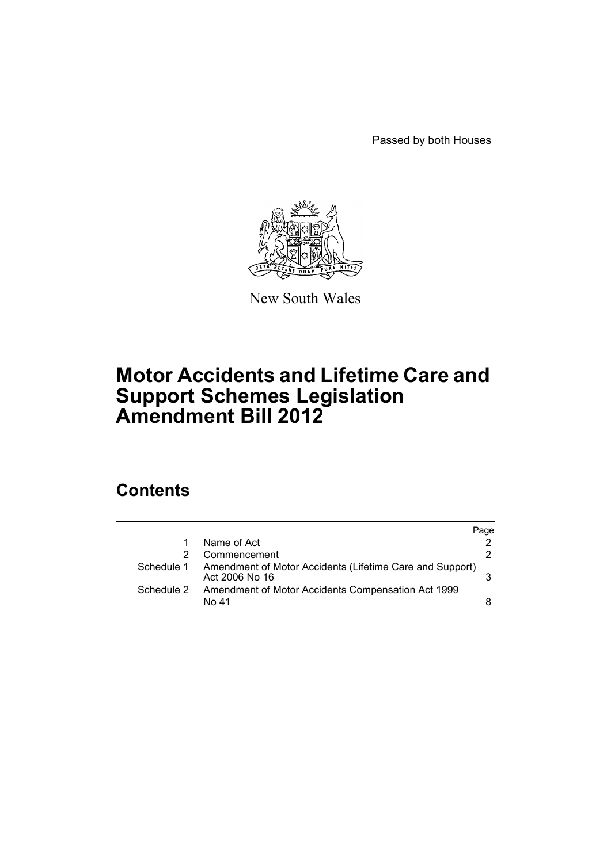Passed by both Houses



New South Wales

# **Motor Accidents and Lifetime Care and Support Schemes Legislation Amendment Bill 2012**

# **Contents**

|            |                                                                            | Page |
|------------|----------------------------------------------------------------------------|------|
|            | Name of Act                                                                |      |
|            | Commencement                                                               | 2    |
| Schedule 1 | Amendment of Motor Accidents (Lifetime Care and Support)<br>Act 2006 No 16 |      |
| Schedule 2 | Amendment of Motor Accidents Compensation Act 1999<br>No 41                | 8    |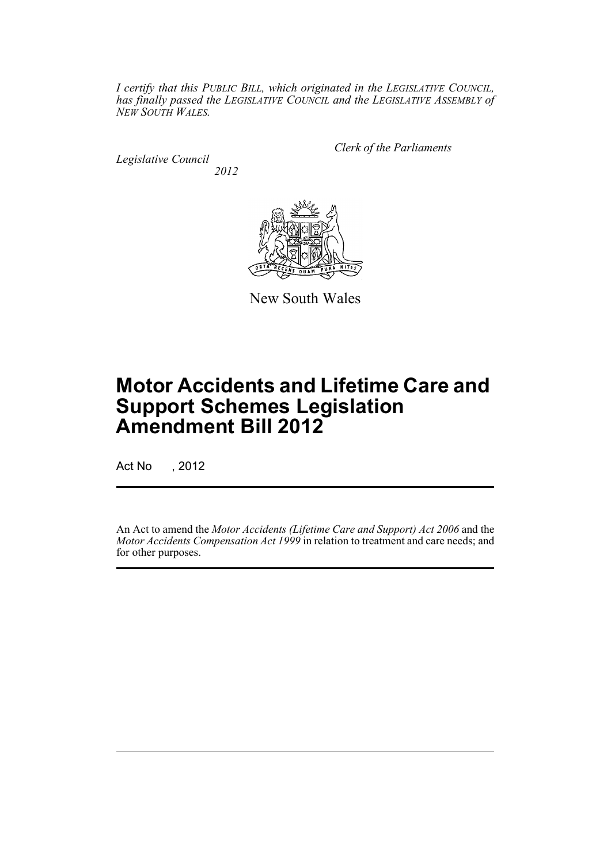*I certify that this PUBLIC BILL, which originated in the LEGISLATIVE COUNCIL, has finally passed the LEGISLATIVE COUNCIL and the LEGISLATIVE ASSEMBLY of NEW SOUTH WALES.*

*Legislative Council 2012* *Clerk of the Parliaments*



New South Wales

# **Motor Accidents and Lifetime Care and Support Schemes Legislation Amendment Bill 2012**

Act No , 2012

An Act to amend the *Motor Accidents (Lifetime Care and Support) Act 2006* and the *Motor Accidents Compensation Act 1999* in relation to treatment and care needs; and for other purposes.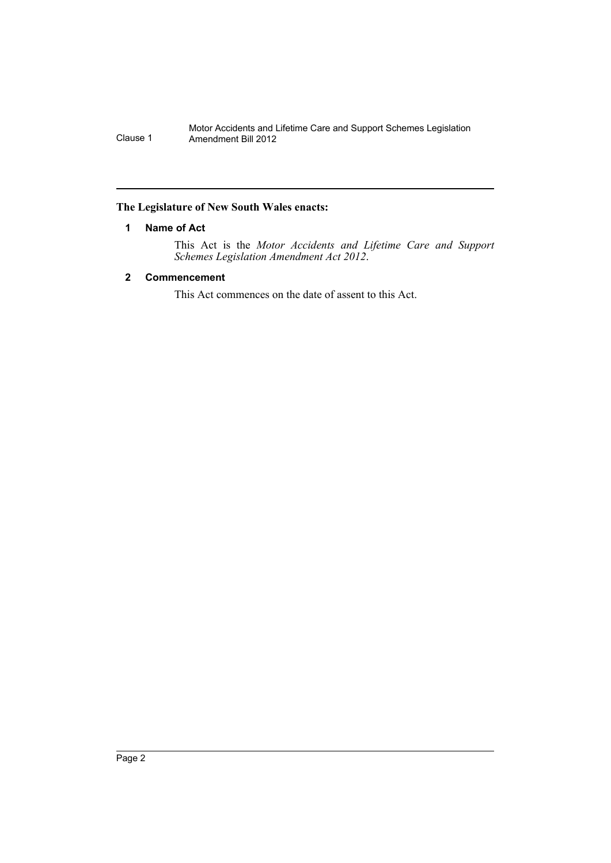## <span id="page-3-0"></span>**The Legislature of New South Wales enacts:**

## **1 Name of Act**

This Act is the *Motor Accidents and Lifetime Care and Support Schemes Legislation Amendment Act 2012*.

## <span id="page-3-1"></span>**2 Commencement**

This Act commences on the date of assent to this Act.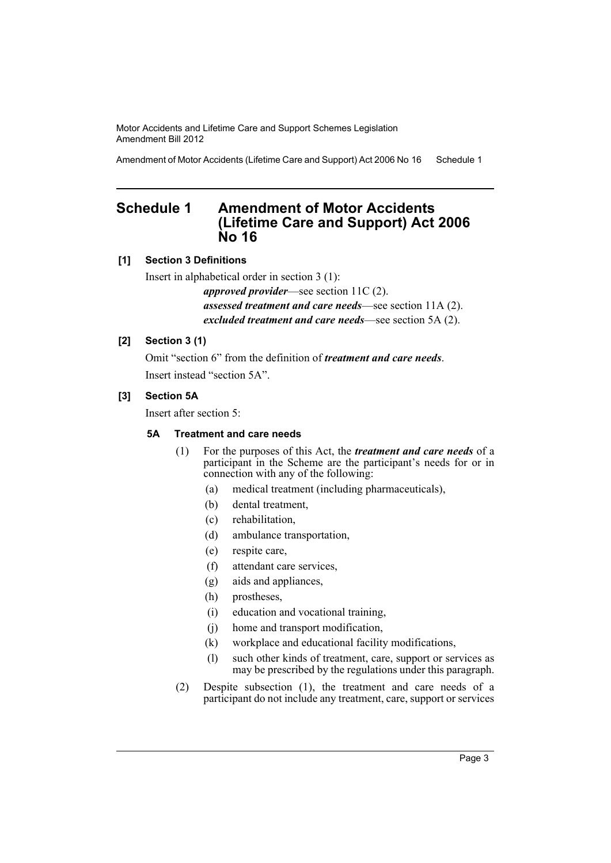Amendment of Motor Accidents (Lifetime Care and Support) Act 2006 No 16 Schedule 1

# <span id="page-4-0"></span>**Schedule 1 Amendment of Motor Accidents (Lifetime Care and Support) Act 2006 No 16**

## **[1] Section 3 Definitions**

Insert in alphabetical order in section 3 (1):

*approved provider*—see section 11C (2). *assessed treatment and care needs*—see section 11A (2). *excluded treatment and care needs*—see section 5A (2).

## **[2] Section 3 (1)**

Omit "section 6" from the definition of *treatment and care needs*. Insert instead "section 5A".

## **[3] Section 5A**

Insert after section 5:

## **5A Treatment and care needs**

- (1) For the purposes of this Act, the *treatment and care needs* of a participant in the Scheme are the participant's needs for or in connection with any of the following:
	- (a) medical treatment (including pharmaceuticals),
	- (b) dental treatment,
	- (c) rehabilitation,
	- (d) ambulance transportation,
	- (e) respite care,
	- (f) attendant care services,
	- (g) aids and appliances,
	- (h) prostheses,
	- (i) education and vocational training,
	- (j) home and transport modification,
	- (k) workplace and educational facility modifications,
	- (l) such other kinds of treatment, care, support or services as may be prescribed by the regulations under this paragraph.
- (2) Despite subsection (1), the treatment and care needs of a participant do not include any treatment, care, support or services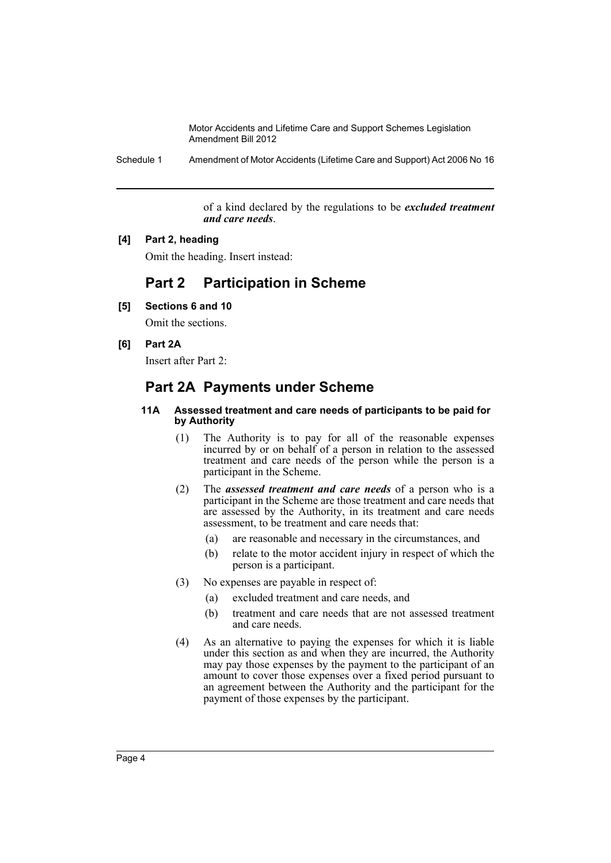Schedule 1 Amendment of Motor Accidents (Lifetime Care and Support) Act 2006 No 16

of a kind declared by the regulations to be *excluded treatment and care needs*.

#### **[4] Part 2, heading**

Omit the heading. Insert instead:

# **Part 2 Participation in Scheme**

**[5] Sections 6 and 10**

Omit the sections.

### **[6] Part 2A**

Insert after Part 2:

## **Part 2A Payments under Scheme**

#### **11A Assessed treatment and care needs of participants to be paid for by Authority**

- (1) The Authority is to pay for all of the reasonable expenses incurred by or on behalf of a person in relation to the assessed treatment and care needs of the person while the person is a participant in the Scheme.
- (2) The *assessed treatment and care needs* of a person who is a participant in the Scheme are those treatment and care needs that are assessed by the Authority, in its treatment and care needs assessment, to be treatment and care needs that:
	- (a) are reasonable and necessary in the circumstances, and
	- (b) relate to the motor accident injury in respect of which the person is a participant.
- (3) No expenses are payable in respect of:
	- (a) excluded treatment and care needs, and
	- (b) treatment and care needs that are not assessed treatment and care needs.
- (4) As an alternative to paying the expenses for which it is liable under this section as and when they are incurred, the Authority may pay those expenses by the payment to the participant of an amount to cover those expenses over a fixed period pursuant to an agreement between the Authority and the participant for the payment of those expenses by the participant.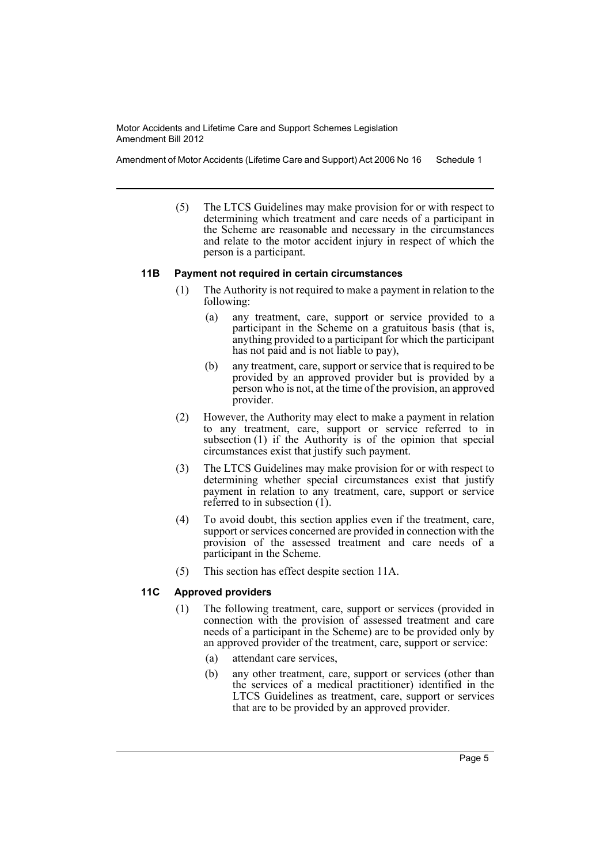Amendment of Motor Accidents (Lifetime Care and Support) Act 2006 No 16 Schedule 1

(5) The LTCS Guidelines may make provision for or with respect to determining which treatment and care needs of a participant in the Scheme are reasonable and necessary in the circumstances and relate to the motor accident injury in respect of which the person is a participant.

#### **11B Payment not required in certain circumstances**

- (1) The Authority is not required to make a payment in relation to the following:
	- (a) any treatment, care, support or service provided to a participant in the Scheme on a gratuitous basis (that is, anything provided to a participant for which the participant has not paid and is not liable to pay),
	- (b) any treatment, care, support or service that is required to be provided by an approved provider but is provided by a person who is not, at the time of the provision, an approved provider.
- (2) However, the Authority may elect to make a payment in relation to any treatment, care, support or service referred to in subsection (1) if the Authority is of the opinion that special circumstances exist that justify such payment.
- (3) The LTCS Guidelines may make provision for or with respect to determining whether special circumstances exist that justify payment in relation to any treatment, care, support or service referred to in subsection (1).
- (4) To avoid doubt, this section applies even if the treatment, care, support or services concerned are provided in connection with the provision of the assessed treatment and care needs of a participant in the Scheme.
- (5) This section has effect despite section 11A.

## **11C Approved providers**

- (1) The following treatment, care, support or services (provided in connection with the provision of assessed treatment and care needs of a participant in the Scheme) are to be provided only by an approved provider of the treatment, care, support or service:
	- (a) attendant care services,
	- (b) any other treatment, care, support or services (other than the services of a medical practitioner) identified in the LTCS Guidelines as treatment, care, support or services that are to be provided by an approved provider.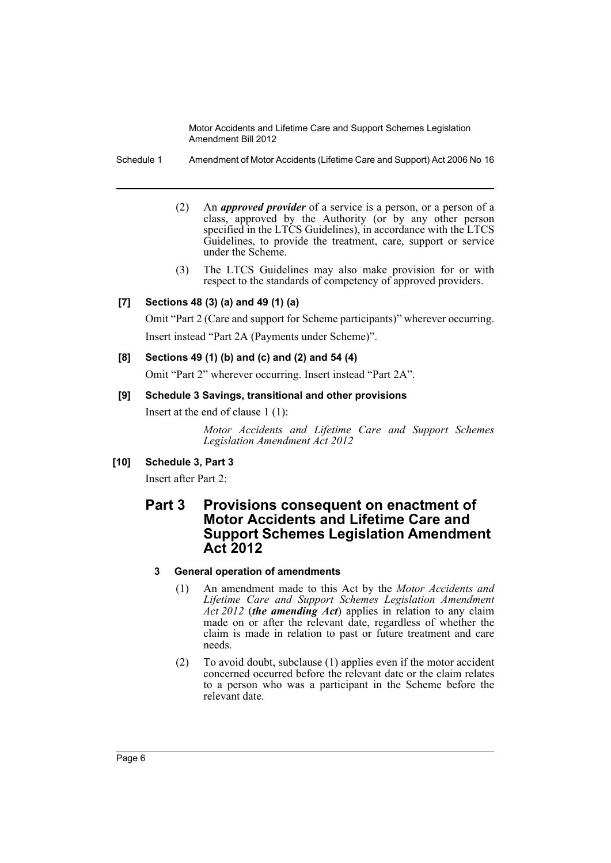Schedule 1 Amendment of Motor Accidents (Lifetime Care and Support) Act 2006 No 16

- (2) An *approved provider* of a service is a person, or a person of a class, approved by the Authority (or by any other person specified in the LTCS Guidelines), in accordance with the LTCS Guidelines, to provide the treatment, care, support or service under the Scheme.
- (3) The LTCS Guidelines may also make provision for or with respect to the standards of competency of approved providers.

## **[7] Sections 48 (3) (a) and 49 (1) (a)**

Omit "Part 2 (Care and support for Scheme participants)" wherever occurring. Insert instead "Part 2A (Payments under Scheme)".

## **[8] Sections 49 (1) (b) and (c) and (2) and 54 (4)**

Omit "Part 2" wherever occurring. Insert instead "Part 2A".

## **[9] Schedule 3 Savings, transitional and other provisions**

Insert at the end of clause 1 (1):

*Motor Accidents and Lifetime Care and Support Schemes Legislation Amendment Act 2012*

## **[10] Schedule 3, Part 3**

Insert after Part 2:

## **Part 3 Provisions consequent on enactment of Motor Accidents and Lifetime Care and Support Schemes Legislation Amendment Act 2012**

## **3 General operation of amendments**

- (1) An amendment made to this Act by the *Motor Accidents and Lifetime Care and Support Schemes Legislation Amendment Act 2012* (*the amending Act*) applies in relation to any claim made on or after the relevant date, regardless of whether the claim is made in relation to past or future treatment and care needs.
- (2) To avoid doubt, subclause (1) applies even if the motor accident concerned occurred before the relevant date or the claim relates to a person who was a participant in the Scheme before the relevant date.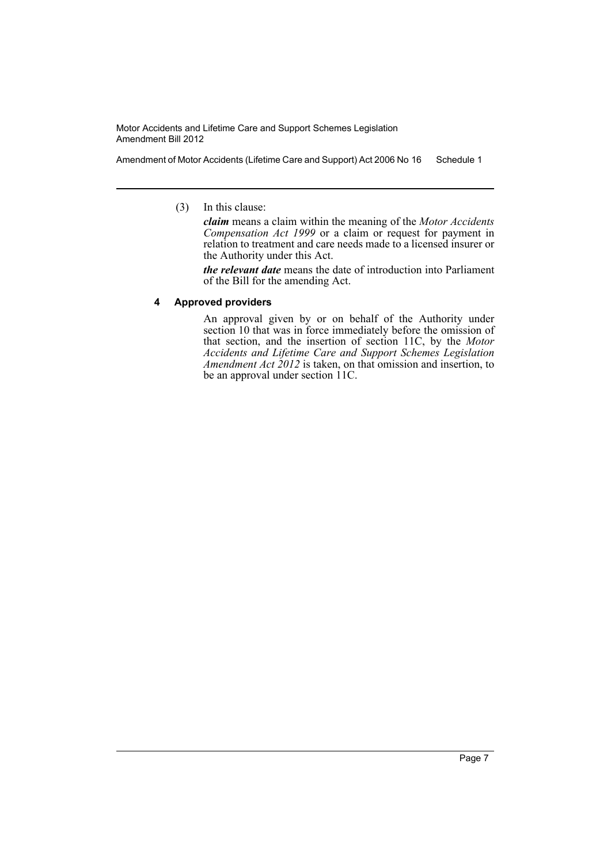Amendment of Motor Accidents (Lifetime Care and Support) Act 2006 No 16 Schedule 1

(3) In this clause:

*claim* means a claim within the meaning of the *Motor Accidents Compensation Act 1999* or a claim or request for payment in relation to treatment and care needs made to a licensed insurer or the Authority under this Act.

*the relevant date* means the date of introduction into Parliament of the Bill for the amending Act.

## **4 Approved providers**

An approval given by or on behalf of the Authority under section 10 that was in force immediately before the omission of that section, and the insertion of section 11C, by the *Motor Accidents and Lifetime Care and Support Schemes Legislation Amendment Act 2012* is taken, on that omission and insertion, to be an approval under section 11C.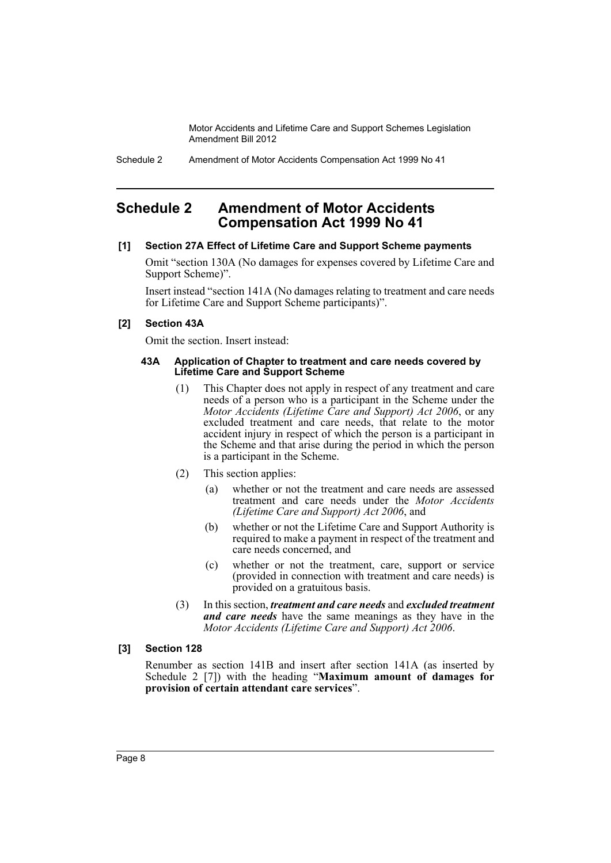# <span id="page-9-0"></span>**Schedule 2 Amendment of Motor Accidents Compensation Act 1999 No 41**

## **[1] Section 27A Effect of Lifetime Care and Support Scheme payments**

Omit "section 130A (No damages for expenses covered by Lifetime Care and Support Scheme)".

Insert instead "section 141A (No damages relating to treatment and care needs for Lifetime Care and Support Scheme participants)".

## **[2] Section 43A**

Omit the section. Insert instead:

#### **43A Application of Chapter to treatment and care needs covered by Lifetime Care and Support Scheme**

- (1) This Chapter does not apply in respect of any treatment and care needs of a person who is a participant in the Scheme under the *Motor Accidents (Lifetime Care and Support) Act 2006*, or any excluded treatment and care needs, that relate to the motor accident injury in respect of which the person is a participant in the Scheme and that arise during the period in which the person is a participant in the Scheme.
- (2) This section applies:
	- (a) whether or not the treatment and care needs are assessed treatment and care needs under the *Motor Accidents (Lifetime Care and Support) Act 2006*, and
	- (b) whether or not the Lifetime Care and Support Authority is required to make a payment in respect of the treatment and care needs concerned, and
	- (c) whether or not the treatment, care, support or service (provided in connection with treatment and care needs) is provided on a gratuitous basis.
- (3) In this section, *treatment and care needs* and *excluded treatment and care needs* have the same meanings as they have in the *Motor Accidents (Lifetime Care and Support) Act 2006*.

## **[3] Section 128**

Renumber as section 141B and insert after section 141A (as inserted by Schedule 2 [7]) with the heading "**Maximum amount of damages for provision of certain attendant care services**".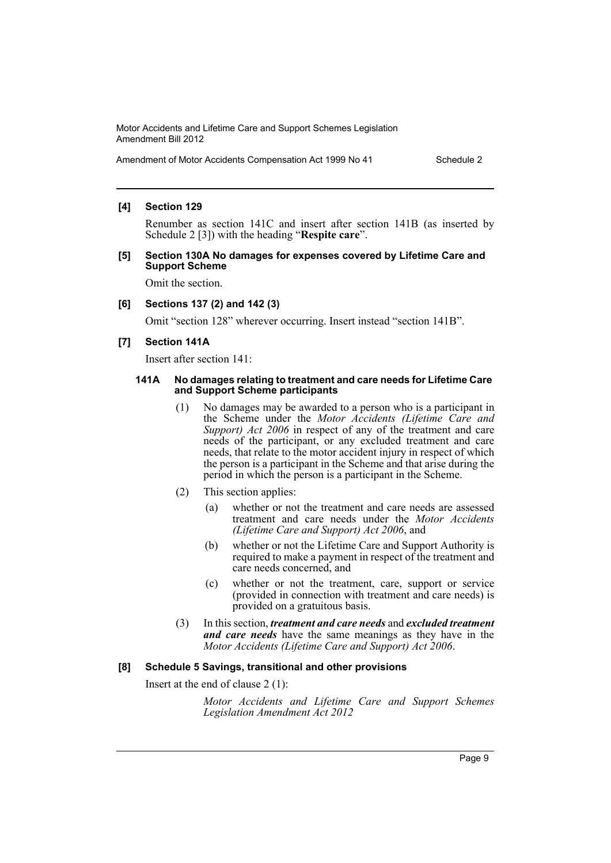#### **[4] Section 129**

Renumber as section 141C and insert after section 141B (as inserted by Schedule 2 [3]) with the heading "**Respite care**".

#### **[5] Section 130A No damages for expenses covered by Lifetime Care and Support Scheme**

Omit the section.

#### **[6] Sections 137 (2) and 142 (3)**

Omit "section 128" wherever occurring. Insert instead "section 141B".

#### **[7] Section 141A**

Insert after section 141:

#### **141A No damages relating to treatment and care needs for Lifetime Care and Support Scheme participants**

- (1) No damages may be awarded to a person who is a participant in the Scheme under the *Motor Accidents (Lifetime Care and Support) Act 2006* in respect of any of the treatment and care needs of the participant, or any excluded treatment and care needs, that relate to the motor accident injury in respect of which the person is a participant in the Scheme and that arise during the period in which the person is a participant in the Scheme.
- (2) This section applies:
	- (a) whether or not the treatment and care needs are assessed treatment and care needs under the *Motor Accidents (Lifetime Care and Support) Act 2006*, and
	- (b) whether or not the Lifetime Care and Support Authority is required to make a payment in respect of the treatment and care needs concerned, and
	- (c) whether or not the treatment, care, support or service (provided in connection with treatment and care needs) is provided on a gratuitous basis.
- (3) In this section, *treatment and care needs* and *excluded treatment and care needs* have the same meanings as they have in the *Motor Accidents (Lifetime Care and Support) Act 2006*.

#### **[8] Schedule 5 Savings, transitional and other provisions**

Insert at the end of clause 2 (1):

*Motor Accidents and Lifetime Care and Support Schemes Legislation Amendment Act 2012*